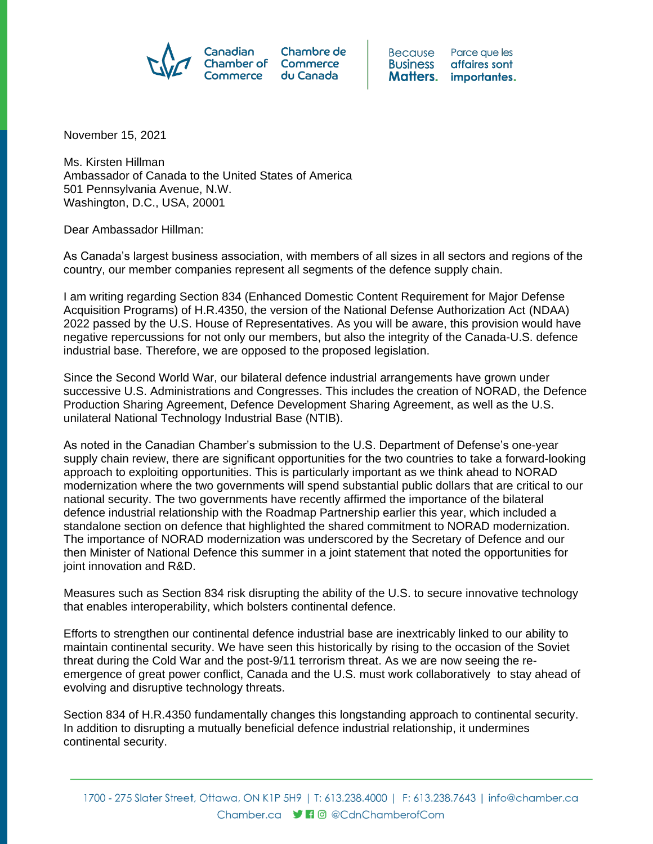

**Because** Parce que les **Business** affaires sont Matters. importantes.

November 15, 2021

Ms. Kirsten Hillman Ambassador of Canada to the United States of America 501 Pennsylvania Avenue, N.W. Washington, D.C., USA, 20001

Dear Ambassador Hillman:

As Canada's largest business association, with members of all sizes in all sectors and regions of the country, our member companies represent all segments of the defence supply chain.

I am writing regarding Section 834 (Enhanced Domestic Content Requirement for Major Defense Acquisition Programs) of H.R.4350, the version of the National Defense Authorization Act (NDAA) 2022 passed by the U.S. House of Representatives. As you will be aware, this provision would have negative repercussions for not only our members, but also the integrity of the Canada-U.S. defence industrial base. Therefore, we are opposed to the proposed legislation.

Since the Second World War, our bilateral defence industrial arrangements have grown under successive U.S. Administrations and Congresses. This includes the creation of NORAD, the Defence Production Sharing Agreement, Defence Development Sharing Agreement, as well as the U.S. unilateral National Technology Industrial Base (NTIB).

As noted in the Canadian Chamber's submission to the U.S. Department of Defense's one-year supply chain review, there are significant opportunities for the two countries to take a forward-looking approach to exploiting opportunities. This is particularly important as we think ahead to NORAD modernization where the two governments will spend substantial public dollars that are critical to our national security. The two governments have recently affirmed the importance of the bilateral defence industrial relationship with the Roadmap Partnership earlier this year, which included a standalone section on defence that highlighted the shared commitment to NORAD modernization. The importance of NORAD modernization was underscored by the Secretary of Defence and our then Minister of National Defence this summer in a joint statement that noted the opportunities for joint innovation and R&D.

Measures such as Section 834 risk disrupting the ability of the U.S. to secure innovative technology that enables interoperability, which bolsters continental defence.

Efforts to strengthen our continental defence industrial base are inextricably linked to our ability to maintain continental security. We have seen this historically by rising to the occasion of the Soviet threat during the Cold War and the post-9/11 terrorism threat. As we are now seeing the reemergence of great power conflict, Canada and the U.S. must work collaboratively to stay ahead of evolving and disruptive technology threats.

Section 834 of H.R.4350 fundamentally changes this longstanding approach to continental security. In addition to disrupting a mutually beneficial defence industrial relationship, it undermines continental security.